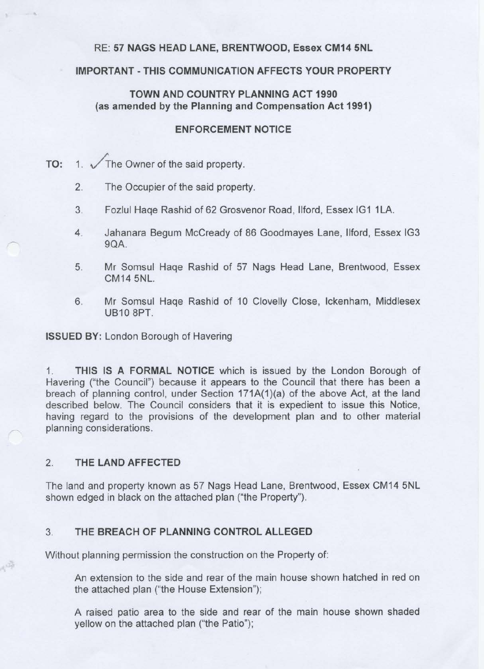## RE: **57 NAGS HEAD LANE, BRENTWOOD, Essex CM14 5NL**

## **IMPORTANT-THIS COMMUNICATION AFFECTS YOUR PROPERTY**

## **TOWN AND COUNTRY PLANNING ACT 1990** {as **amended by the Planning and Compensation Act 1991)**

### **ENFORCEMENT NOTICE**

TO: 1.  $\sqrt{\text{The Owner of the said property}}$ .

- 2. The Occupier of the said property.
- 3. Fozlul Haqe Rashid of 62 Grosvenor Road, Ilford, Essex IG1 1LA.
- 4. Jahanara Begum Mccready of 86 Goodmayes Lane, llford, Essex IG3 9QA.
- 5. Mr Somsul Haqe Rashid of 57 Nags Head Lane, Brentwood, Essex CM14 5NL.
- 6. Mr Somsul Haqe Rashid of 10 Clovelly Close, lckenham, Middlesex UB10 8PT.

**ISSUED BY:** London Borough of Havering

1. **THIS IS A FORMAL NOTICE** which is issued by the London Borough of Havering ("the Council") because it appears to the Council that there has been a breach of planning control, under Section 171A(1)(a) of the above Act, at the land described below. The Council considers that it is expedient to issue this Notice, having regard to the provisions of the development plan and to other material planning considerations.

## 2. **THE LAND AFFECTED**

停

The land and property known as 57 Nags Head Lane, Brentwood, Essex CM14 5NL shown edged in black on the attached plan ("the Property").

## 3. **THE BREACH OF PLANNING CONTROL ALLEGED**

Without planning permission the construction on the Property of:

An extension to the side and rear of the main house shown hatched in red on the attached plan ("the House Extension");

A raised patio area to the side and rear of the main house shown shaded yellow on the attached plan ("the Patio");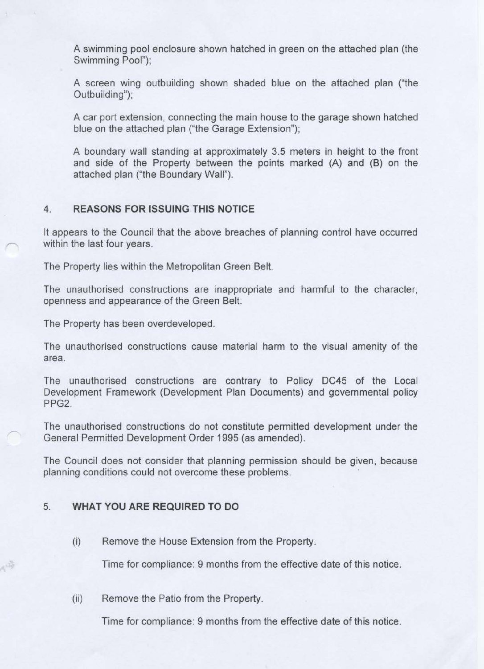A swimming pool enclosure shown hatched in green on the attached plan (the Swimming Pool");

A screen wing outbuilding shown shaded blue on the attached plan ("the Outbuilding");

A car port extension, connecting the main house to the garage shown hatched blue on the attached plan ("the Garage Extension");

A boundary wall standing at approximately 3.5 meters in height to the front and side of the Property between the points marked (A) and (B) on the attached plan ("the Boundary Wall").

### 4. **REASONS FOR ISSUING THIS NOTICE**

It appears to the Council that the above breaches of planning control have occurred within the last four years.

The Property lies within the Metropolitan Green Belt.

The unauthorised constructions are inappropriate and harmful to the character, openness and appearance of the Green Belt.

The Property has been overdeveloped.

The unauthorised constructions cause material harm to the visual amenity of the area.

The unauthorised constructions are contrary to Policy DC45 of the Local Development Framework (Development Plan Documents) and governmental policy PPG2.

The unauthorised constructions do not constitute permitted development under the General Permitted Development Order 1995 (as amended).

The Council does not consider that planning permission should be given, because planning conditions could not overcome these problems.

#### 5. **WHAT YOU ARE REQUIRED TO DO**

嗨

(i) Remove the House Extension from the Property.

Time for compliance: 9 months from the effective date of this notice.

(ii) Remove the Patio from the Property.

Time for compliance: 9 months from the effective date of this notice.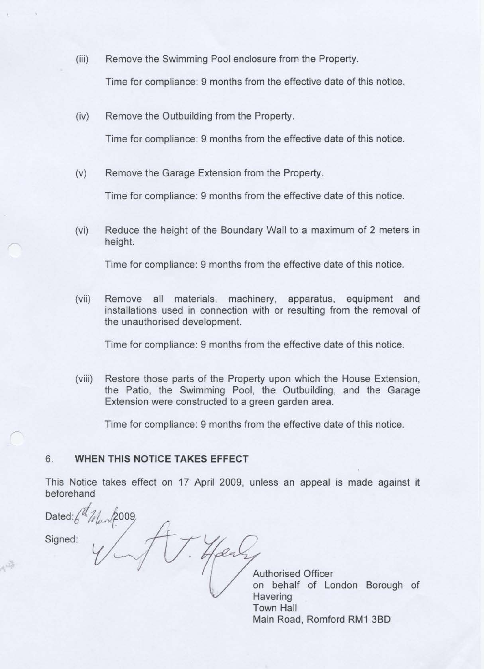(iii) Remove the Swimming Pool enclosure from the Property.

Time for compliance: 9 months from the effective date of this notice.

(iv) Remove the Outbuilding from the Property.

Time for compliance: 9 months from the effective date of this notice.

(v) Remove the Garage Extension from the Property.

Time for compliance: 9 months from the effective date of this notice.

(vi) Reduce the height of the Boundary Wall to a maximum of 2 meters in height.

Time for compliance: 9 months from the effective date of this notice.

(vii) Remove all materials, machinery, apparatus, equipment and installations used in connection with or resulting from the removal of the unauthorised development.

Time for compliance: 9 months from the effective date of this notice.

(viii) Restore those parts of the Property upon which the House Extension, the Patio, the Swimming Pool, the Outbuilding, and the Garage Extension were constructed to a green garden area.

Time for compliance: 9 months from the effective date of this notice.

# 6. **WHEN THIS NOTICE TAKES EFFECT**

This Notice takes effect on 17 April 2009, unless an appeal is made against it beforehand

Dated: $\sqrt[k]{\mathcal{U}}$ Signed:  $\mathcal{A}$ Hear

嶂

Authorised Officer on behalf of London Borough of **Havering** Town Hall Main Road, Romford RM1 3BD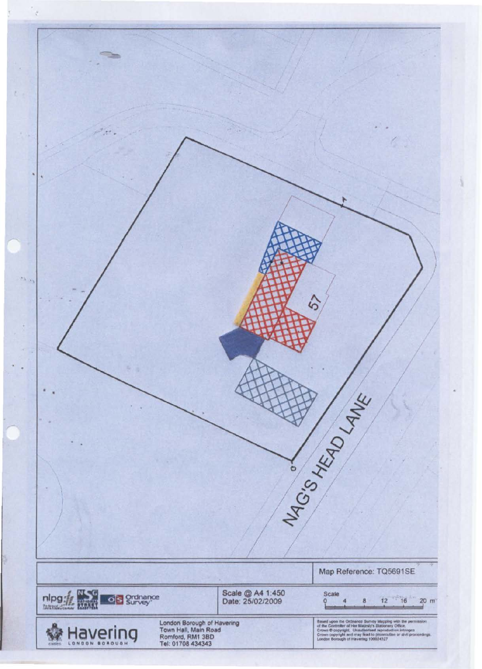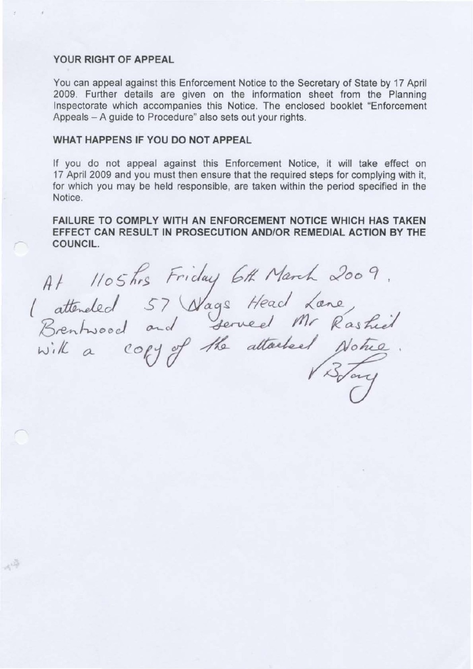#### YOUR RIGHT OF APPEAL

冲

You can appeal against this Enforcement Notice to the Secretary of State by 17 April 2009. Further details are given on the information sheet from the Planning Inspectorate which accompanies this Notice. The enclosed booklet "Enforcement Appeals - A guide to Procedure" also sets out your rights.

## WHAT HAPPENS IF YOU DO NOT APPEAL

If you do not appeal against this Enforcement Notice, it will take effect on 17 April 2009 and you must then ensure that the required steps for complying with it, for which you may be held responsible, are taken within the period specified in the Notice.

FAILURE TO COMPLY WITH AN ENFORCEMENT NOTICE WHICH HAS TAKEN EFFECT CAN RESULT IN PROSECUTION AND/OR REMEDIAL ACTION BY THE COUNCIL.

At 1105 hrs Friday 6th March 2009.<br>1 attended 57 Nags Head Lane,<br>Brentwood and served Mr Rashiel.<br>with a copy of the attached Notice.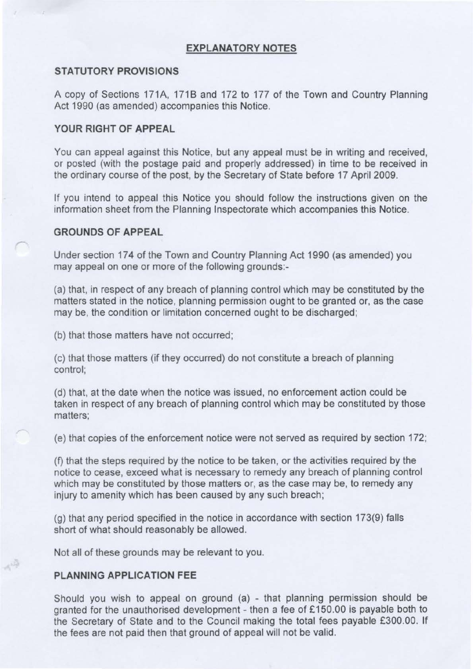### **EXPLANATORY NOTES**

### **STATUTORY PROVISIONS**

A copy of Sections 171A, 1718 and 172 to 177 of the Town and Country Planning Act 1990 (as amended) accompanies this Notice.

### **YOUR RIGHT OF APPEAL**

You can appeal against this Notice, but any appeal must be in writing and received, or posted (with the postage paid and properly addressed) in time to be received in the ordinary course of the post, by the Secretary of State before 17 April 2009.

If you intend to appeal this Notice you should follow the instructions given on the information sheet from the Planning Inspectorate which accompanies this Notice.

## **GROUNDS OF APPEAL**

Under section 17 4 of the Town and Country Planning Act 1990 (as amended) you may appeal on one or more of the following grounds:

(a) that, in respect of any breach of planning control which may be constituted by the matters stated in the notice, planning permission ought to be granted or, as the case may be, the condition or limitation concerned ought to be discharged;

(b) that those matters have not occurred;

(c) that those matters (if they occurred) do not constitute a breach of planning control;

(d) that, at the date when the notice was issued, no enforcement action could be taken in respect of any breach of planning control which may be constituted by those matters;

(e) that copies of the enforcement notice were not served as required by section 172;

(f) that the steps required by the notice to be taken, or the activities required by the notice to cease, exceed what is necessary to remedy any breach of planning control which may be constituted by those matters or, as the case may be, to remedy any injury to amenity which has been caused by any such breach;

(g) that any period specified in the notice in accordance with section 173(9) falls short of what should reasonably be allowed.

Not all of these grounds may be relevant to you.

### **PLANNING APPLICATION FEE**

禪

Should you wish to appeal on ground (a) - that planning permission should be granted for the unauthorised development - then a fee of £150.00 is payable both to the Secretary of State and to the Council making the total fees payable £300.00. If the fees are not paid then that ground of appeal will not be valid.